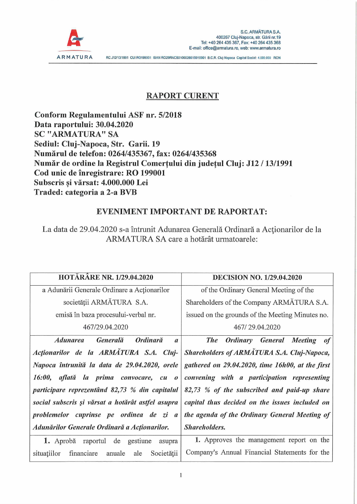

## **RAPORT CURENT**

**Conform Regulamentului ASF nr. 5/2018 Data raportului: 30.04.2020 SC "ARMATURA" SA Sediul: Cluj-Napoca, Str. Garii. 19 Numärul de telefon: 0264/435367, fax: 0264/435368 Numär de ordine la Registrul Comertului din judetul Cluj: J12 /13/1991 Cod unic de inregistrare: RO 199001 Subscris si värsat: 4.000.000 Lei** ? **Traded: categoria a 2-a BVB**

## **EVENIMENT IMPORTANT DE RAPORTAT:**

La data de 29.04.2020 s-a întrunit Adunarea Generală Ordinară a Acționarilor de la ARMATURA SA care a hotärät urmatoarele:

| <b>HOTĂRÂRE NR. 1/29.04.2020</b>                                   | <b>DECISION NO. 1/29.04.2020</b>                          |
|--------------------------------------------------------------------|-----------------------------------------------------------|
| a Adunării Generale Ordinare a Acționarilor                        | of the Ordinary General Meeting of the                    |
| societății ARMĂTURA S.A.                                           | Shareholders of the Company ARMĂTURA S.A.                 |
| emisă în baza procesului-verbal nr.                                | issued on the grounds of the Meeting Minutes no.          |
| 467/29.04.2020                                                     | 467/29.04.2020                                            |
| Ordinară<br>Generală<br><i><b>Adunarea</b></i><br>$\boldsymbol{a}$ | <b>The</b><br>Meeting<br><b>Ordinary</b><br>General<br>of |
| Actionarilor de la ARMÁTURA S.A. Cluj-                             | Shareholders of ARMATURA S.A. Cluj-Napoca,                |
| Napoca întrunită la data de 29.04.2020, orele                      | gathered on 29.04.2020, time 16h00, at the first          |
| 16:00, aflată la prima convocare, cu o                             | convening with a participation representing               |
| participare reprezentând 82,73 % din capitalul                     | 82,73 % of the subscribed and paid-up share               |
| social subscris și vărsat a hotărât astfel asupra                  | capital thus decided on the issues included on            |
| problemelor cuprinse pe ordinea de zi a                            | the agenda of the Ordinary General Meeting of             |
| Adunărilor Generale Ordinară a Acționarilor.                       | Shareholders.                                             |
| de gestiune<br>1. Aprobă<br>raportul<br>asupra                     | 1. Approves the management report on the                  |
| situațiilor<br>Societății<br>financiare<br>anuale<br>ale           | Company's Annual Financial Statements for the             |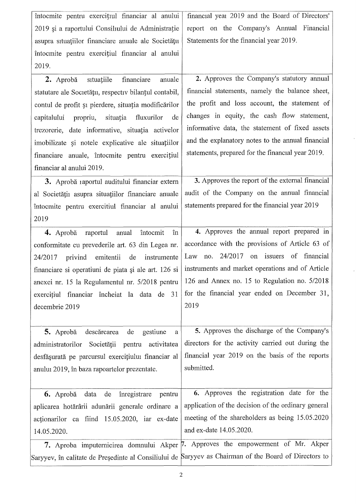| întocmite pentru exercițiul financiar al anului          | financial year 2019 and the Board of Directors'                                                       |
|----------------------------------------------------------|-------------------------------------------------------------------------------------------------------|
| 2019 și a raportului Consiliului de Administrație        | report on the Company's Annual Financial                                                              |
| asupra situațiilor financiare anuale ale Societății      | Statements for the financial year 2019.                                                               |
| întocmite pentru exercițiul financiar al anului          |                                                                                                       |
| 2019.                                                    |                                                                                                       |
| situațiile<br>financiare<br>2. Aprobă<br>anuale          | 2. Approves the Company's statutory annual                                                            |
| statutare ale Societății, respectiv bilanțul contabil,   | financial statements, namely the balance sheet,                                                       |
| contul de profit și pierdere, situația modificărilor     | the profit and loss account, the statement of                                                         |
| propriu,<br>situația<br>fluxurilor<br>capitalului<br>de  | changes in equity, the cash flow statement,                                                           |
| trezorerie, date informative, situația activelor         | informative data, the statement of fixed assets                                                       |
| imobilizate și notele explicative ale situațiilor        | and the explanatory notes to the annual financial                                                     |
| financiare anuale, întocmite pentru exercițiul           | statements, prepared for the financial year 2019.                                                     |
| financiar al anului 2019.                                |                                                                                                       |
|                                                          | 3. Approves the report of the external financial                                                      |
| 3. Aprobă raportul auditului financiar extern            |                                                                                                       |
| al Societății asupra situațiilor financiare anuale       | audit of the Company on the annual financial                                                          |
| întocmite pentru exercitiul financiar al anului          | statements prepared for the financial year 2019                                                       |
| 2019                                                     |                                                                                                       |
| raportul anual<br>întocmit<br>4. Aprobă<br>în            | 4. Approves the annual report prepared in                                                             |
| conformitate cu prevederile art. 63 din Legea nr.        | accordance with the provisions of Article 63 of                                                       |
| emitentii<br>de<br>instrumente<br>24/2017<br>privind     | $24/2017$ on issuers<br>of financial<br>Law<br>no.                                                    |
| financiare si operatiuni de piata și ale art. 126 si     | instruments and market operations and of Article                                                      |
| anexei nr. 15 la Regulamentul nr. 5/2018 pentru          | 126 and Annex no. 15 to Regulation no. 5/2018                                                         |
| exercițiul financiar încheiat la data de 31              | for the financial year ended on December 31,                                                          |
| decembrie 2019                                           | 2019                                                                                                  |
|                                                          |                                                                                                       |
| descărcarea<br>de<br>gestiune<br>5. Aprobă<br>a          | 5. Approves the discharge of the Company's                                                            |
| Societății<br>activitatea<br>administratorilor<br>pentru | directors for the activity carried out during the                                                     |
| desfășurată pe parcursul exercițiului financiar al       | financial year 2019 on the basis of the reports                                                       |
| anului 2019, în baza rapoartelor prezentate.             | submitted.                                                                                            |
|                                                          |                                                                                                       |
| 6. Aprobă data de<br>înregistrare<br>pentru              | 6. Approves the registration date for the                                                             |
| aplicarea hotărârii adunării generale ordinare a         | application of the decision of the ordinary general                                                   |
| actionarilor ca fiind 15.05.2020, iar ex-date            | meeting of the shareholders as being 15.05.2020                                                       |
| 14.05.2020.                                              | and ex-date 14.05.2020.                                                                               |
|                                                          | 7. Aproba imputernicirea domnului Akper 7. Approves the empowerment of Mr. Akper                      |
|                                                          | Saryyev, în calitate de Președinte al Consiliului de Saryyev as Chairman of the Board of Directors to |